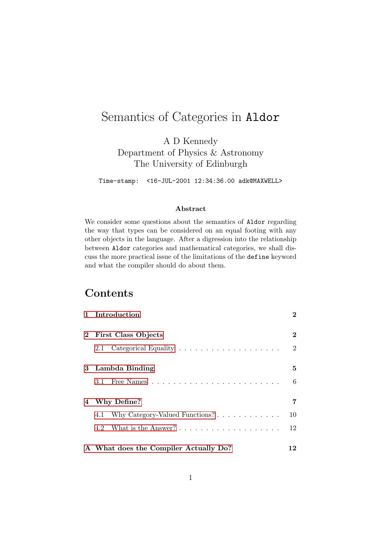# Semantics of Categories in Aldor

A D Kennedy Department of Physics & Astronomy The University of Edinburgh

Time-stamp: <16-JUL-2001 12:34:36.00 adk@MAXWELL>

#### Abstract

We consider some questions about the semantics of Aldor regarding the way that types can be considered on an equal footing with any other objects in the language. After a digression into the relationship between Aldor categories and mathematical categories, we shall discuss the more practical issue of the limitations of the define keyword and what the compiler should do about them.

## **Contents**

|   | 1 Introduction                                                      | $\bf{2}$        |
|---|---------------------------------------------------------------------|-----------------|
|   | 2 First Class Objects                                               | $\bf{2}$        |
|   | 2.1                                                                 | $\overline{2}$  |
|   | 3 Lambda Binding                                                    | 5               |
|   |                                                                     | $6\phantom{.}6$ |
| 4 | Why Define?                                                         | 7               |
|   | Why Category-Valued Functions? $\ldots \ldots \ldots \ldots$<br>4.1 | 10              |
|   |                                                                     | 12              |
|   | A What does the Compiler Actually Do?                               | 12              |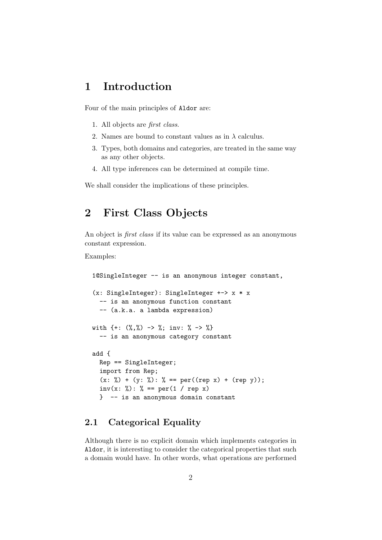### <span id="page-1-0"></span>1 Introduction

Four of the main principles of Aldor are:

- 1. All objects are first class.
- 2. Names are bound to constant values as in  $\lambda$  calculus.
- 3. Types, both domains and categories, are treated in the same way as any other objects.
- 4. All type inferences can be determined at compile time.

We shall consider the implications of these principles.

## <span id="page-1-1"></span>2 First Class Objects

An object is *first class* if its value can be expressed as an anonymous constant expression.

Examples:

```
1@SingleInteger -- is an anonymous integer constant,
(x: SingleInteger): SingleInteger +-> x * x
  -- is an anonymous function constant
  -- (a.k.a. a lambda expression)
with \{+: (\%, \%) \rightarrow \%; inv: \% \rightarrow \% \}-- is an anonymous category constant
add {
  Rep == SingleInteger;
  import from Rep;
  (x: %) + (y: %): % == per((rep x) + (rep y));inv(x: %): % == per(1 / rep x)
  } -- is an anonymous domain constant
```
#### <span id="page-1-2"></span>2.1 Categorical Equality

Although there is no explicit domain which implements categories in Aldor, it is interesting to consider the categorical properties that such a domain would have. In other words, what operations are performed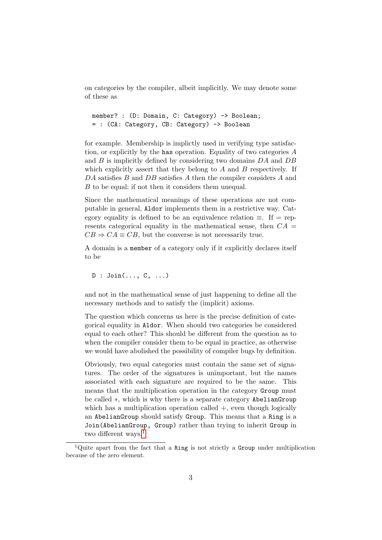on categories by the compiler, albeit implicitly. We may denote some of these as

```
member? : (D: Domain, C: Category) -> Boolean;
= : (CA: Category, CB: Category) -> Boolean
```
for example. Membership is implictly used in verifying type satisfaction, or explicitly by the has operation. Equality of two categories A and B is implicitly defined by considering two domains DA and DB which explicitly assert that they belong to  $A$  and  $B$  respectively. If DA satisfies B and DB satisfies A then the compiler considers A and B to be equal; if not then it considers them unequal.

Since the mathematical meanings of these operations are not computable in general, Aldor implements them in a restrictive way. Category equality is defined to be an equivalence relation  $\equiv$ . If  $=$  represents categorical equality in the mathematical sense, then  $CA =$  $CB \Rightarrow CA \equiv CB$ , but the converse is not necessarily true.

A domain is a member of a category only if it explicitly declares itself to be

 $D$  : Join $(\ldots, C, \ldots)$ 

and not in the mathematical sense of just happening to define all the necessary methods and to satisfy the (implicit) axioms.

The question which concerns us here is the precise definition of categorical equality in Aldor. When should two categories be considered equal to each other? This should be different from the question as to when the compiler consider them to be equal in practice, as otherwise we would have abolished the possibility of compiler bugs by definition.

Obviously, two equal categories must contain the same set of signatures. The order of the signatures is unimportant, but the names associated with each signature are required to be the same. This means that the multiplication operation in the category Group must be called ∗, which is why there is a separate category AbelianGroup which has a multiplication operation called  $+$ , even though logically an AbelianGroup should satisfy Group. This means that a Ring is a Join(AbelianGroup, Group) rather than trying to inherit Group in two different ways.<sup>[1](#page-2-0)</sup>

<span id="page-2-0"></span><sup>&</sup>lt;sup>1</sup>Quite apart from the fact that a Ring is not strictly a Group under multiplication because of the zero element.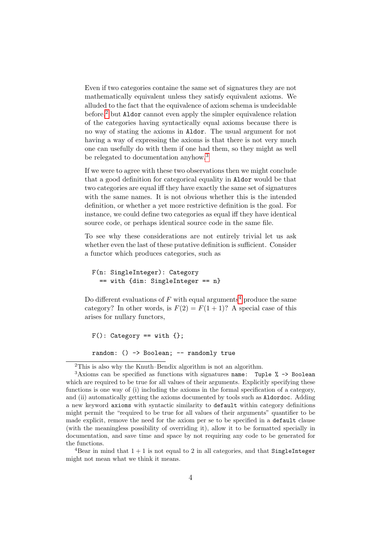Even if two categories containe the same set of signatures they are not mathematically equivalent unless they satisfy equivalent axioms. We alluded to the fact that the equivalence of axiom schema is undecidable before,<sup>[2](#page-3-0)</sup> but Aldor cannot even apply the simpler equivalence relation of the categories having syntactically equal axioms because there is no way of stating the axioms in Aldor. The usual argument for not having a way of expressing the axioms is that there is not very much one can usefully do with them if one had them, so they might as well be relegated to documentation anyhow.<sup>[3](#page-3-1)</sup>

If we were to agree with these two observations then we might conclude that a good definition for categorical equality in Aldor would be that two categories are equal iff they have exactly the same set of signatures with the same names. It is not obvious whether this is the intended definition, or whether a yet more restrictive definition is the goal. For instance, we could define two categories as equal iff they have identical source code, or perhaps identical source code in the same file.

To see why these considerations are not entirely trivial let us ask whether even the last of these putative definition is sufficient. Consider a functor which produces categories, such as

```
F(n: SingleInteger): Category
  == with {dim: SingleInteger == n}
```
Do different evaluations of  $F$  with equal arguments<sup>[4](#page-3-2)</sup> produce the same category? In other words, is  $F(2) = F(1 + 1)$ ? A special case of this arises for nullary functors,

```
F(): Category == with \{\};
random: () -> Boolean; -- randomly true
```
<span id="page-3-2"></span><sup>4</sup>Bear in mind that  $1 + 1$  is not equal to 2 in all categories, and that SingleInteger might not mean what we think it means.

<span id="page-3-1"></span><span id="page-3-0"></span><sup>2</sup>This is also why the Knuth–Bendix algorithm is not an algorithm.

 $3Axioms can be specified as functions with signatures name: Type  $\frac{9}{6} \rightarrow$  Boolean$ which are required to be true for all values of their arguments. Explicitly specifying these functions is one way of (i) including the axioms in the formal specification of a category, and (ii) automatically getting the axioms documented by tools such as Aldordoc. Adding a new keyword axioms with syntactic similarity to default within category definitions might permit the "required to be true for all values of their arguments" quantifier to be made explicit, remove the need for the axiom per se to be specified in a default clause (with the meaningless possibility of overriding it), allow it to be formatted specially in documentation, and save time and space by not requiring any code to be generated for the functions.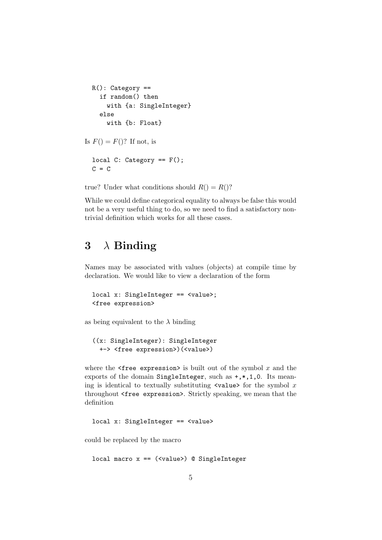```
R(): Category ==
    if random() then
      with {a: SingleInteger}
    else
      with {b: Float}
Is F() = F()? If not, is
  local C: Category == F();
  C = C
```
true? Under what conditions should  $R() = R()$ ?

While we could define categorical equality to always be false this would not be a very useful thing to do, so we need to find a satisfactory nontrivial definition which works for all these cases.

## <span id="page-4-0"></span> $3 \lambda$  Binding

Names may be associated with values (objects) at compile time by declaration. We would like to view a declaration of the form

```
local x: SingleInteger == <value>;
<free expression>
```
as being equivalent to the  $\lambda$  binding

```
((x: SingleInteger): SingleInteger
 +-> <free expression>)(<value>)
```
where the  $\leq$  free expression> is built out of the symbol x and the exports of the domain SingleInteger, such as +,\*,1,0. Its meaning is identical to textually substituting  $\langle$ value> for the symbol x throughout <free expression>. Strictly speaking, we mean that the definition

local x: SingleInteger == <value>

could be replaced by the macro

```
local macro x = (xvalue) @ SingleInteger
```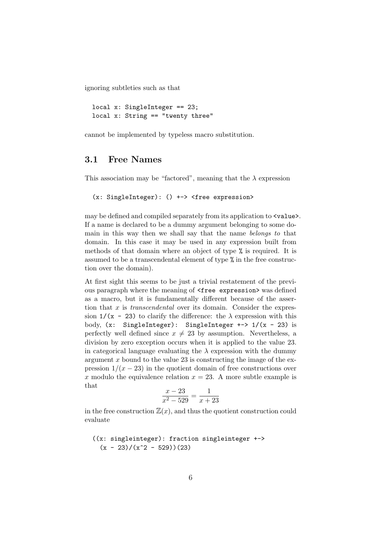ignoring subtleties such as that

```
local x: SingleInteger == 23;
local x: String == "twenty three"
```
cannot be implemented by typeless macro substitution.

#### <span id="page-5-0"></span>3.1 Free Names

This association may be "factored", meaning that the  $\lambda$  expression

```
(x: SingleInteger): () +-> <free expression>
```
may be defined and compiled separately from its application to  $\langle$ value $\rangle$ . If a name is declared to be a dummy argument belonging to some domain in this way then we shall say that the name belongs to that domain. In this case it may be used in any expression built from methods of that domain where an object of type % is required. It is assumed to be a transcendental element of type % in the free construction over the domain).

At first sight this seems to be just a trivial restatement of the previous paragraph where the meaning of  $\text{free expression}$  was defined as a macro, but it is fundamentally different because of the assertion that x is *transcendental* over its domain. Consider the expression  $1/(x - 23)$  to clarify the difference: the  $\lambda$  expression with this body,  $(x:$  SingleInteger): SingleInteger  $\rightarrow$  1/ $(x - 23)$  is perfectly well defined since  $x \neq 23$  by assumption. Nevertheless, a division by zero exception occurs when it is applied to the value 23. in categorical language evaluating the  $\lambda$  expression with the dummy argument  $x$  bound to the value 23 is constructing the image of the expression  $1/(x-23)$  in the quotient domain of free constructions over x modulo the equivalence relation  $x = 23$ . A more subtle example is that

$$
\frac{x-23}{x^2-529} = \frac{1}{x+23}
$$

in the free construction  $\mathbb{Z}(x)$ , and thus the quotient construction could evaluate

```
((x: singleinteger): fraction singleinteger +->
 (x - 23)/(x^2 - 529)(23)
```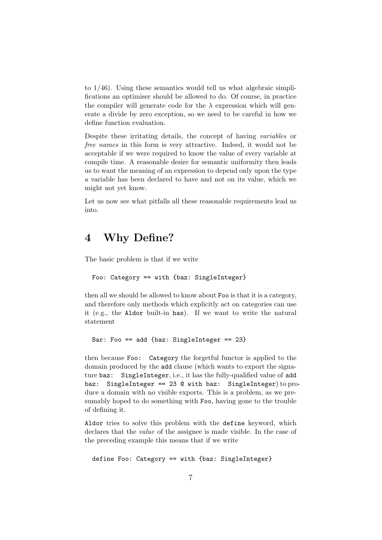to 1/46). Using these semantics would tell us what algebraic simplifications an optimiser should be allowed to do. Of course, in practice the compiler will generate code for the  $\lambda$  expression which will generate a divide by zero exception, so we need to be careful in how we define function evaluation.

Despite these irritating details, the concept of having variables or free names in this form is very attractive. Indeed, it would not be acceptable if we were required to know the value of every variable at compile time. A reasonable desire for semantic uniformity then leads us to want the meaning of an expression to depend only upon the type a variable has been declared to have and not on its value, which we might not yet know.

Let us now see what pitfalls all these reasonable requirements lead us into.

### <span id="page-6-0"></span>4 Why Define?

The basic problem is that if we write

```
Foo: Category == with {baz: SingleInteger}
```
then all we should be allowed to know about Foo is that it is a category, and therefore only methods which explicitly act on categories can use it (e.g., the Aldor built-in has). If we want to write the natural statement

```
Bar: Foo == add {baz: SingleInteger == 23}
```
then because Foo: Category the forgetful functor is applied to the domain produced by the add clause (which wants to export the signature baz: SingleInteger, i.e., it has the fully-qualified value of add baz: SingleInteger == 23 @ with baz: SingleInteger) to produce a domain with no visible exports. This is a problem, as we presumably hoped to do something with Foo, having gone to the trouble of defining it.

Aldor tries to solve this problem with the define keyword, which declares that the value of the assignee is made visible. In the case of the preceding example this means that if we write

```
define Foo: Category == with {baz: SingleInteger}
```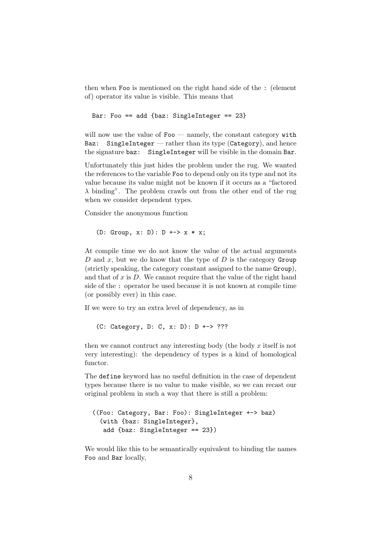then when Foo is mentioned on the right hand side of the : (element of) operator its value is visible. This means that

Bar: Foo == add {baz: SingleInteger == 23}

will now use the value of  $\text{Foo}$  — namely, the constant category with Baz: SingleInteger — rather than its type (Category), and hence the signature baz: SingleInteger will be visible in the domain Bar.

Unfortunately this just hides the problem under the rug. We wanted the references to the variable Foo to depend only on its type and not its value because its value might not be known if it occurs as a "factored  $\lambda$  binding". The problem crawls out from the other end of the rug when we consider dependent types.

Consider the anonymous function

(D: Group,  $x: D$ ):  $D$  +->  $x * x$ ;

At compile time we do not know the value of the actual arguments D and x, but we do know that the type of  $D$  is the category Group (strictly speaking, the category constant assigned to the name Group), and that of  $x$  is  $D$ . We cannot require that the value of the right hand side of the : operator be used because it is not known at compile time (or possibly ever) in this case.

If we were to try an extra level of dependency, as in

(C: Category, D: C, x: D): D +-> ???

then we cannot contruct any interesting body (the body  $x$  itself is not very interesting): the dependency of types is a kind of homological functor.

The define keyword has no useful definition in the case of dependent types because there is no value to make visible, so we can recast our original problem in such a way that there is still a problem:

```
((Foo: Category, Bar: Foo): SingleInteger +-> baz)
  (with {baz: SingleInteger},
  add {baz: SingleInteger == 23})
```
We would like this to be semantically equivalent to binding the names Foo and Bar locally,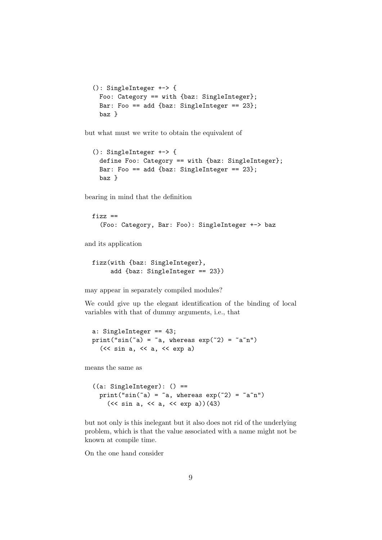```
(): SingleInteger +-> {
 Foo: Category == with {baz: SingleInteger};
 Bar: Foo == add {baz: SingleInteger == 23};
 baz }
```
but what must we write to obtain the equivalent of

```
(): SingleInteger +-> {
 define Foo: Category == with {baz: SingleInteger};
 Bar: Foo == add {baz: SingleInteger == 23};
 baz }
```
bearing in mind that the definition

```
fizz ==(Foo: Category, Bar: Foo): SingleInteger +-> baz
```
and its application

```
fizz(with {baz: SingleInteger},
     add {baz: SingleInteger == 23})
```
may appear in separately compiled modules?

We could give up the elegant identification of the binding of local variables with that of dummy arguments, i.e., that

```
a: SingleInteger == 43;
print("sin(\tilde{a}) = \tilde{a}, whereas exp(\tilde{c}2) = \tilde{a}\tilde{a}")
   (\langle \langle \sin a, \langle a, \sin a \rangle)
```
means the same as

```
((a: SingleInteger): () ==print("sin(\tilde{a}) = \tilde{a}, whereas exp(\tilde{c}2) = \tilde{a}\tilde{a}")
     (\langle \xi \sin a, \xi \sin a \rangle) (43)
```
but not only is this inelegant but it also does not rid of the underlying problem, which is that the value associated with a name might not be known at compile time.

On the one hand consider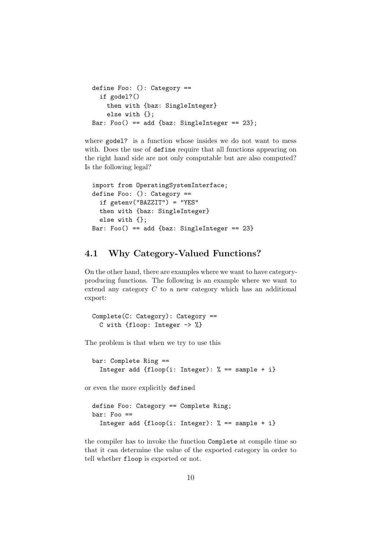```
define Foo: (): Category ==
  if godel?()
    then with {baz: SingleInteger}
    else with {};
Bar: Foo() == add \{baz: SingleInteger == 23\};
```
where godel? is a function whose insides we do not want to mess with. Does the use of define require that all functions appearing on the right hand side are not only computable but are also computed? Is the following legal?

```
import from OperatingSystemInterface;
define Foo: (): Categorical =if getenv("BAZZIT") = "YES"
  then with {baz: SingleInteger}
  else with {};
Bar: Foo() == add \{baz: SingleInteger == 23\}
```
#### <span id="page-9-0"></span>4.1 Why Category-Valued Functions?

On the other hand, there are examples where we want to have categoryproducing functions. The following is an example where we want to extend any category C to a new category which has an additional export:

```
Complete(C: Category): Category ==
  C with {floop: Integer -> %}
```
The problem is that when we try to use this

bar: Complete Ring == Integer add {floop(i: Integer):  $% ==$  sample + i}

or even the more explicitly defined

```
define Foo: Category == Complete Ring;
bar: Foo ==
  Integer add \{floop(i: Integer): % == sample + i\}
```
the compiler has to invoke the function Complete at compile time so that it can determine the value of the exported category in order to tell whether floop is exported or not.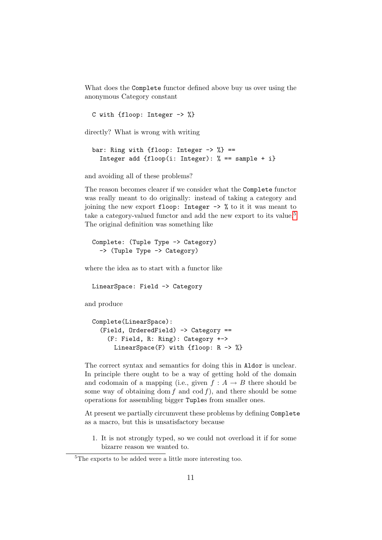What does the Complete functor defined above buy us over using the anonymous Category constant

C with {floop: Integer -> %}

directly? What is wrong with writing

```
bar: Ring with {floop: Integer \rightarrow %} ==
  Integer add \{floop(i: Integer): % == sample + i\}
```
and avoiding all of these problems?

The reason becomes clearer if we consider what the Complete functor was really meant to do originally: instead of taking a category and joining the new export floop: Integer -> % to it it was meant to take a category-valued functor and add the new export to its value.<sup>[5](#page-10-0)</sup> The original definition was something like

```
Complete: (Tuple Type -> Category)
  -> (Tuple Type -> Category)
```
where the idea as to start with a functor like

LinearSpace: Field -> Category

and produce

```
Complete(LinearSpace):
  (Field, OrderedField) -> Category ==
    (F: Field, R: Ring): Category +->
      LinearSpace(F) with {floop: R -> %}
```
The correct syntax and semantics for doing this in Aldor is unclear. In principle there ought to be a way of getting hold of the domain and codomain of a mapping (i.e., given  $f : A \rightarrow B$  there should be some way of obtaining dom f and cod f), and there should be some operations for assembling bigger Tuples from smaller ones.

At present we partially circumvent these problems by defining Complete as a macro, but this is unsatisfactory because

1. It is not strongly typed, so we could not overload it if for some bizarre reason we wanted to.

<span id="page-10-0"></span><sup>5</sup>The exports to be added were a little more interesting too.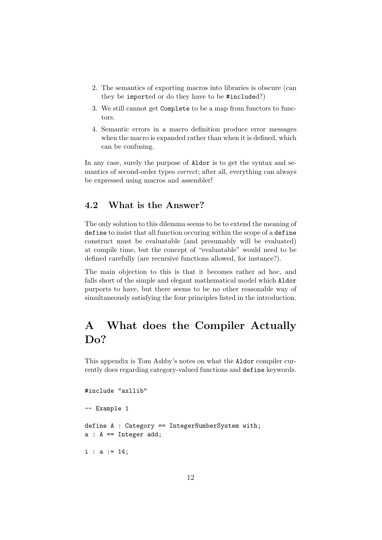- 2. The semantics of exporting macros into libraries is obscure (can they be imported or do they have to be #included?)
- 3. We still cannot get Complete to be a map from functors to functors.
- 4. Semantic errors in a macro definition produce error messages when the macro is expanded rather than when it is defined, which can be confusing.

In any case, surely the purpose of Aldor is to get the syntax and semantics of second-order types correct; after all, everything can always be expressed using macros and assembler!

#### <span id="page-11-0"></span>4.2 What is the Answer?

The only solution to this dilemma seems to be to extend the meaning of define to insist that all function occuring within the scope of a define construct must be evaluatable (and presumably will be evaluated) at compile time, but the concept of "evaluatable" would need to be defined carefully (are recursive functions allowed, for instance?).

The main objection to this is that it becomes rather ad hoc, and falls short of the simple and elegant mathematical model which Aldor purports to have, but there seems to be no other reasonable way of simultaneously satisfying the four principles listed in the introduction.

# <span id="page-11-1"></span>A What does the Compiler Actually Do?

This appendix is Tom Ashby's notes on what the Aldor compiler currently does regarding category-valued functions and define keywords.

```
#include "axllib"
-- Example 1
define A : Category == IntegerNumberSystem with;
a : A == Integer add;i : a := 14;
```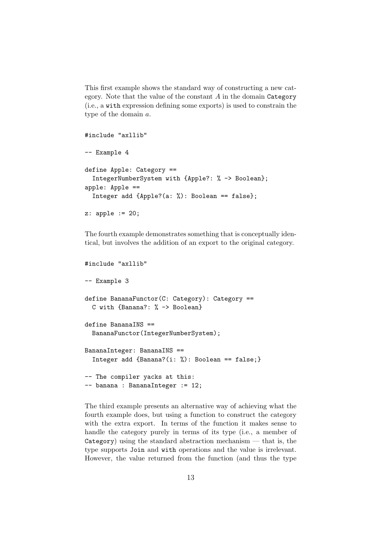This first example shows the standard way of constructing a new category. Note that the value of the constant  $A$  in the domain Category (i.e., a with expression defining some exports) is used to constrain the type of the domain a.

```
#include "axllib"
-- Example 4
define Apple: Category ==
  IntegerNumberSystem with {Apple?: % -> Boolean};
apple: Apple ==
  Integer add {Apple?(a: %): Boolean == false};
z: apple := 20;
```
The fourth example demonstrates something that is conceptually identical, but involves the addition of an export to the original category.

```
#include "axllib"
-- Example 3
define BananaFunctor(C: Category): Category ==
  C with {Banana?: % -> Boolean}
define BananaINS ==
  BananaFunctor(IntegerNumberSystem);
BananaInteger: BananaINS ==
  Integer add {Banana?(i: %): Boolean == false;}
-- The compiler yacks at this:
-- banana : BananaInteger := 12;
```
The third example presents an alternative way of achieving what the fourth example does, but using a function to construct the category with the extra export. In terms of the function it makes sense to handle the category purely in terms of its type (i.e., a member of  $Categoricality$ ) using the standard abstraction mechanism  $-$  that is, the type supports Join and with operations and the value is irrelevant. However, the value returned from the function (and thus the type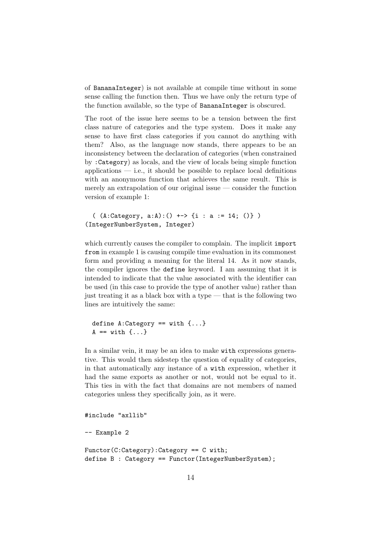of BananaInteger) is not available at compile time without in some sense calling the function then. Thus we have only the return type of the function available, so the type of BananaInteger is obscured.

The root of the issue here seems to be a tension between the first class nature of categories and the type system. Does it make any sense to have first class categories if you cannot do anything with them? Also, as the language now stands, there appears to be an inconsistency between the declaration of categories (when constrained by :Category) as locals, and the view of locals being simple function  $a$ pplications — i.e., it should be possible to replace local definitions with an anonymous function that achieves the same result. This is merely an extrapolation of our original issue — consider the function version of example 1:

```
( (A:Category, a:A):() \rightarrow > {i : a := 14; ()} )(IntegerNumberSystem, Integer)
```
which currently causes the compiler to complain. The implicit import from in example 1 is causing compile time evaluation in its commonest form and providing a meaning for the literal 14. As it now stands, the compiler ignores the define keyword. I am assuming that it is intended to indicate that the value associated with the identifier can be used (in this case to provide the type of another value) rather than just treating it as a black box with a type — that is the following two lines are intuitively the same:

```
define A:Category == with \{ \ldots \}A == with \{...\}
```
In a similar vein, it may be an idea to make with expressions generative. This would then sidestep the question of equality of categories, in that automatically any instance of a with expression, whether it had the same exports as another or not, would not be equal to it. This ties in with the fact that domains are not members of named categories unless they specifically join, as it were.

```
#include "axllib"
```

```
-- Example 2
```

```
Functor(C:Category):Category == C with;
define B : Category == Functor(IntegerNumberSystem);
```